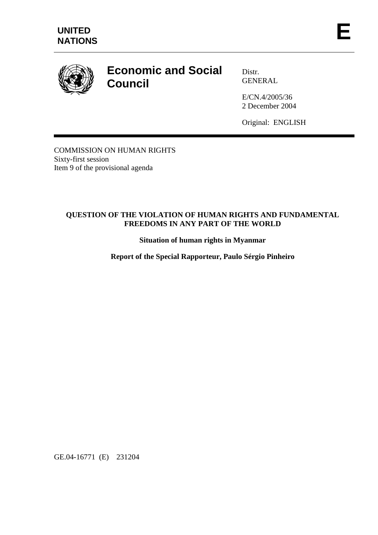

# **Economic and Social Council**

Distr. GENERAL

E/CN.4/2005/36 2 December 2004

Original: ENGLISH

COMMISSION ON HUMAN RIGHTS Sixty-first session Item 9 of the provisional agenda

## **QUESTION OF THE VIOLATION OF HUMAN RIGHTS AND FUNDAMENTAL FREEDOMS IN ANY PART OF THE WORLD**

**Situation of human rights in Myanmar** 

**Report of the Special Rapporteur, Paulo Sérgio Pinheiro** 

GE.04-16771 (E) 231204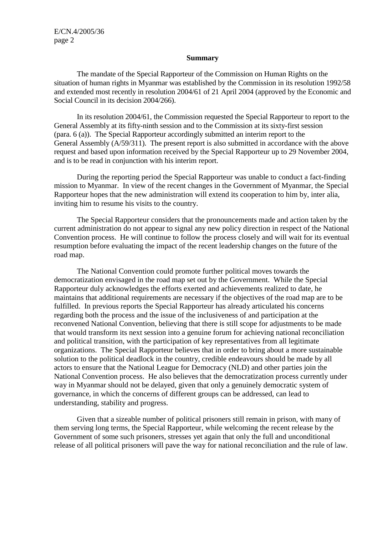#### **Summary**

 The mandate of the Special Rapporteur of the Commission on Human Rights on the situation of human rights in Myanmar was established by the Commission in its resolution 1992/58 and extended most recently in resolution 2004/61 of 21 April 2004 (approved by the Economic and Social Council in its decision 2004/266).

 In its resolution 2004/61, the Commission requested the Special Rapporteur to report to the General Assembly at its fifty-ninth session and to the Commission at its sixty-first session (para. 6 (a)). The Special Rapporteur accordingly submitted an interim report to the General Assembly (A/59/311). The present report is also submitted in accordance with the above request and based upon information received by the Special Rapporteur up to 29 November 2004, and is to be read in conjunction with his interim report.

 During the reporting period the Special Rapporteur was unable to conduct a fact-finding mission to Myanmar. In view of the recent changes in the Government of Myanmar, the Special Rapporteur hopes that the new administration will extend its cooperation to him by, inter alia, inviting him to resume his visits to the country.

 The Special Rapporteur considers that the pronouncements made and action taken by the current administration do not appear to signal any new policy direction in respect of the National Convention process. He will continue to follow the process closely and will wait for its eventual resumption before evaluating the impact of the recent leadership changes on the future of the road map.

 The National Convention could promote further political moves towards the democratization envisaged in the road map set out by the Government. While the Special Rapporteur duly acknowledges the efforts exerted and achievements realized to date, he maintains that additional requirements are necessary if the objectives of the road map are to be fulfilled. In previous reports the Special Rapporteur has already articulated his concerns regarding both the process and the issue of the inclusiveness of and participation at the reconvened National Convention, believing that there is still scope for adjustments to be made that would transform its next session into a genuine forum for achieving national reconciliation and political transition, with the participation of key representatives from all legitimate organizations. The Special Rapporteur believes that in order to bring about a more sustainable solution to the political deadlock in the country, credible endeavours should be made by all actors to ensure that the National League for Democracy (NLD) and other parties join the National Convention process. He also believes that the democratization process currently under way in Myanmar should not be delayed, given that only a genuinely democratic system of governance, in which the concerns of different groups can be addressed, can lead to understanding, stability and progress.

 Given that a sizeable number of political prisoners still remain in prison, with many of them serving long terms, the Special Rapporteur, while welcoming the recent release by the Government of some such prisoners, stresses yet again that only the full and unconditional release of all political prisoners will pave the way for national reconciliation and the rule of law.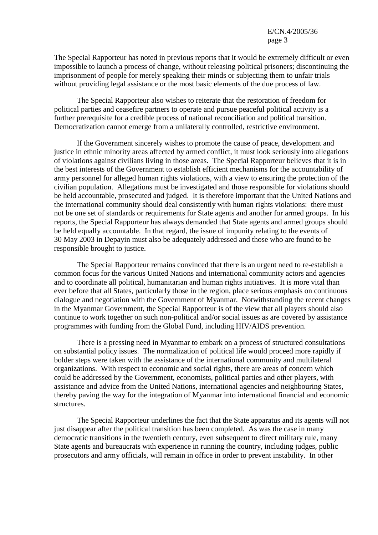The Special Rapporteur has noted in previous reports that it would be extremely difficult or even impossible to launch a process of change, without releasing political prisoners; discontinuing the imprisonment of people for merely speaking their minds or subjecting them to unfair trials without providing legal assistance or the most basic elements of the due process of law.

 The Special Rapporteur also wishes to reiterate that the restoration of freedom for political parties and ceasefire partners to operate and pursue peaceful political activity is a further prerequisite for a credible process of national reconciliation and political transition. Democratization cannot emerge from a unilaterally controlled, restrictive environment.

 If the Government sincerely wishes to promote the cause of peace, development and justice in ethnic minority areas affected by armed conflict, it must look seriously into allegations of violations against civilians living in those areas. The Special Rapporteur believes that it is in the best interests of the Government to establish efficient mechanisms for the accountability of army personnel for alleged human rights violations, with a view to ensuring the protection of the civilian population. Allegations must be investigated and those responsible for violations should be held accountable, prosecuted and judged. It is therefore important that the United Nations and the international community should deal consistently with human rights violations: there must not be one set of standards or requirements for State agents and another for armed groups. In his reports, the Special Rapporteur has always demanded that State agents and armed groups should be held equally accountable. In that regard, the issue of impunity relating to the events of 30 May 2003 in Depayin must also be adequately addressed and those who are found to be responsible brought to justice.

 The Special Rapporteur remains convinced that there is an urgent need to re-establish a common focus for the various United Nations and international community actors and agencies and to coordinate all political, humanitarian and human rights initiatives. It is more vital than ever before that all States, particularly those in the region, place serious emphasis on continuous dialogue and negotiation with the Government of Myanmar. Notwithstanding the recent changes in the Myanmar Government, the Special Rapporteur is of the view that all players should also continue to work together on such non-political and/or social issues as are covered by assistance programmes with funding from the Global Fund, including HIV/AIDS prevention.

 There is a pressing need in Myanmar to embark on a process of structured consultations on substantial policy issues. The normalization of political life would proceed more rapidly if bolder steps were taken with the assistance of the international community and multilateral organizations. With respect to economic and social rights, there are areas of concern which could be addressed by the Government, economists, political parties and other players, with assistance and advice from the United Nations, international agencies and neighbouring States, thereby paving the way for the integration of Myanmar into international financial and economic structures.

 The Special Rapporteur underlines the fact that the State apparatus and its agents will not just disappear after the political transition has been completed. As was the case in many democratic transitions in the twentieth century, even subsequent to direct military rule, many State agents and bureaucrats with experience in running the country, including judges, public prosecutors and army officials, will remain in office in order to prevent instability. In other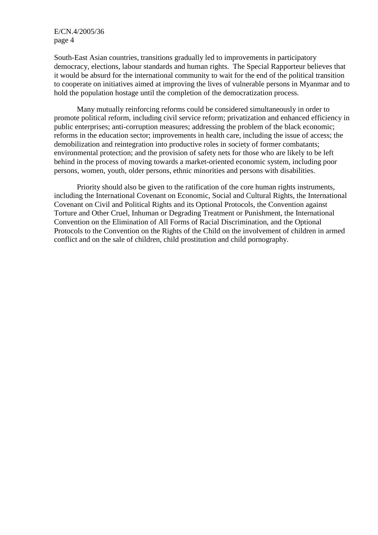South-East Asian countries, transitions gradually led to improvements in participatory democracy, elections, labour standards and human rights. The Special Rapporteur believes that it would be absurd for the international community to wait for the end of the political transition to cooperate on initiatives aimed at improving the lives of vulnerable persons in Myanmar and to hold the population hostage until the completion of the democratization process.

 Many mutually reinforcing reforms could be considered simultaneously in order to promote political reform, including civil service reform; privatization and enhanced efficiency in public enterprises; anti-corruption measures; addressing the problem of the black economic; reforms in the education sector; improvements in health care, including the issue of access; the demobilization and reintegration into productive roles in society of former combatants; environmental protection; and the provision of safety nets for those who are likely to be left behind in the process of moving towards a market-oriented economic system, including poor persons, women, youth, older persons, ethnic minorities and persons with disabilities.

 Priority should also be given to the ratification of the core human rights instruments, including the International Covenant on Economic, Social and Cultural Rights, the International Covenant on Civil and Political Rights and its Optional Protocols, the Convention against Torture and Other Cruel, Inhuman or Degrading Treatment or Punishment, the International Convention on the Elimination of All Forms of Racial Discrimination, and the Optional Protocols to the Convention on the Rights of the Child on the involvement of children in armed conflict and on the sale of children, child prostitution and child pornography.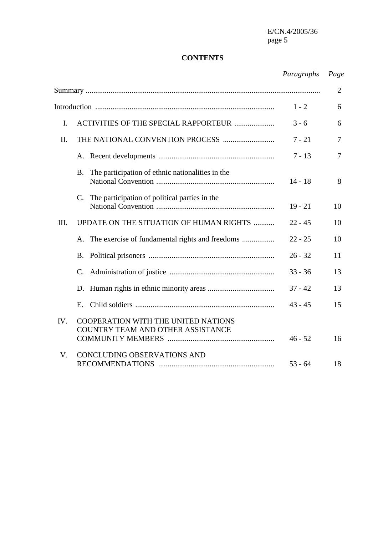## **CONTENTS**

## *Paragraphs Page*

|         |                                                                          |           | $\overline{2}$ |
|---------|--------------------------------------------------------------------------|-----------|----------------|
| $1 - 2$ |                                                                          |           | 6              |
| I.      | ACTIVITIES OF THE SPECIAL RAPPORTEUR                                     | $3 - 6$   | 6              |
| Π.      |                                                                          | $7 - 21$  | $\overline{7}$ |
|         |                                                                          | $7 - 13$  | 7              |
|         | The participation of ethnic nationalities in the<br><b>B.</b>            | $14 - 18$ | 8              |
|         | The participation of political parties in the<br>$\mathbf{C}$ .          | $19 - 21$ | 10             |
| III.    | UPDATE ON THE SITUATION OF HUMAN RIGHTS                                  | $22 - 45$ | 10             |
|         |                                                                          | $22 - 25$ | 10             |
|         | <b>B.</b>                                                                | $26 - 32$ | 11             |
|         | $\mathcal{C}$ .                                                          | $33 - 36$ | 13             |
|         | D.                                                                       | $37 - 42$ | 13             |
|         | E.                                                                       | $43 - 45$ | 15             |
| IV.     | COOPERATION WITH THE UNITED NATIONS<br>COUNTRY TEAM AND OTHER ASSISTANCE | $46 - 52$ | 16             |
| V.      | <b>CONCLUDING OBSERVATIONS AND</b>                                       | $53 - 64$ | 18             |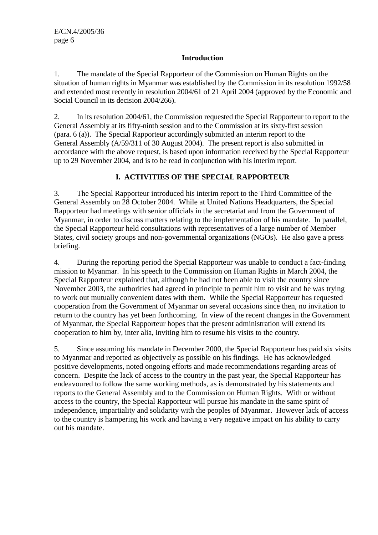## **Introduction**

1. The mandate of the Special Rapporteur of the Commission on Human Rights on the situation of human rights in Myanmar was established by the Commission in its resolution 1992/58 and extended most recently in resolution 2004/61 of 21 April 2004 (approved by the Economic and Social Council in its decision 2004/266).

2. In its resolution 2004/61, the Commission requested the Special Rapporteur to report to the General Assembly at its fifty-ninth session and to the Commission at its sixty-first session (para. 6 (a)). The Special Rapporteur accordingly submitted an interim report to the General Assembly (A/59/311 of 30 August 2004). The present report is also submitted in accordance with the above request, is based upon information received by the Special Rapporteur up to 29 November 2004, and is to be read in conjunction with his interim report.

## **I. ACTIVITIES OF THE SPECIAL RAPPORTEUR**

3. The Special Rapporteur introduced his interim report to the Third Committee of the General Assembly on 28 October 2004. While at United Nations Headquarters, the Special Rapporteur had meetings with senior officials in the secretariat and from the Government of Myanmar, in order to discuss matters relating to the implementation of his mandate. In parallel, the Special Rapporteur held consultations with representatives of a large number of Member States, civil society groups and non-governmental organizations (NGOs). He also gave a press briefing.

4. During the reporting period the Special Rapporteur was unable to conduct a fact-finding mission to Myanmar. In his speech to the Commission on Human Rights in March 2004, the Special Rapporteur explained that, although he had not been able to visit the country since November 2003, the authorities had agreed in principle to permit him to visit and he was trying to work out mutually convenient dates with them. While the Special Rapporteur has requested cooperation from the Government of Myanmar on several occasions since then, no invitation to return to the country has yet been forthcoming. In view of the recent changes in the Government of Myanmar, the Special Rapporteur hopes that the present administration will extend its cooperation to him by, inter alia, inviting him to resume his visits to the country.

5. Since assuming his mandate in December 2000, the Special Rapporteur has paid six visits to Myanmar and reported as objectively as possible on his findings. He has acknowledged positive developments, noted ongoing efforts and made recommendations regarding areas of concern. Despite the lack of access to the country in the past year, the Special Rapporteur has endeavoured to follow the same working methods, as is demonstrated by his statements and reports to the General Assembly and to the Commission on Human Rights. With or without access to the country, the Special Rapporteur will pursue his mandate in the same spirit of independence, impartiality and solidarity with the peoples of Myanmar. However lack of access to the country is hampering his work and having a very negative impact on his ability to carry out his mandate.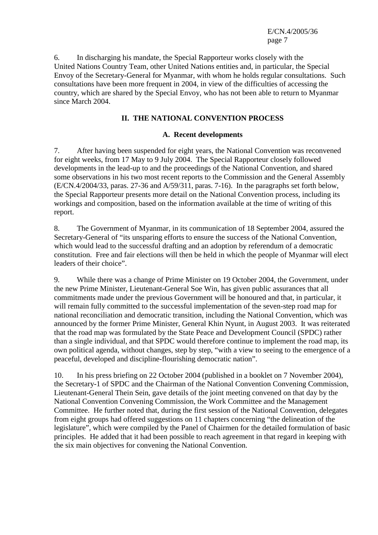6. In discharging his mandate, the Special Rapporteur works closely with the United Nations Country Team, other United Nations entities and, in particular, the Special Envoy of the Secretary-General for Myanmar, with whom he holds regular consultations. Such consultations have been more frequent in 2004, in view of the difficulties of accessing the country, which are shared by the Special Envoy, who has not been able to return to Myanmar since March 2004.

### **II. THE NATIONAL CONVENTION PROCESS**

#### **A. Recent developments**

7. After having been suspended for eight years, the National Convention was reconvened for eight weeks, from 17 May to 9 July 2004. The Special Rapporteur closely followed developments in the lead-up to and the proceedings of the National Convention, and shared some observations in his two most recent reports to the Commission and the General Assembly (E/CN.4/2004/33, paras. 27-36 and A/59/311, paras. 7-16). In the paragraphs set forth below, the Special Rapporteur presents more detail on the National Convention process, including its workings and composition, based on the information available at the time of writing of this report.

8. The Government of Myanmar, in its communication of 18 September 2004, assured the Secretary-General of "its unsparing efforts to ensure the success of the National Convention, which would lead to the successful drafting and an adoption by referendum of a democratic constitution. Free and fair elections will then be held in which the people of Myanmar will elect leaders of their choice".

9. While there was a change of Prime Minister on 19 October 2004, the Government, under the new Prime Minister, Lieutenant-General Soe Win, has given public assurances that all commitments made under the previous Government will be honoured and that, in particular, it will remain fully committed to the successful implementation of the seven-step road map for national reconciliation and democratic transition, including the National Convention, which was announced by the former Prime Minister, General Khin Nyunt, in August 2003. It was reiterated that the road map was formulated by the State Peace and Development Council (SPDC) rather than a single individual, and that SPDC would therefore continue to implement the road map, its own political agenda, without changes, step by step, "with a view to seeing to the emergence of a peaceful, developed and discipline-flourishing democratic nation".

10. In his press briefing on 22 October 2004 (published in a booklet on 7 November 2004), the Secretary-1 of SPDC and the Chairman of the National Convention Convening Commission, Lieutenant-General Thein Sein, gave details of the joint meeting convened on that day by the National Convention Convening Commission, the Work Committee and the Management Committee. He further noted that, during the first session of the National Convention, delegates from eight groups had offered suggestions on 11 chapters concerning "the delineation of the legislature", which were compiled by the Panel of Chairmen for the detailed formulation of basic principles. He added that it had been possible to reach agreement in that regard in keeping with the six main objectives for convening the National Convention.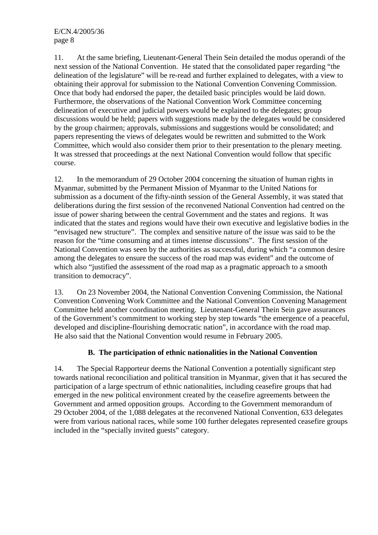11. At the same briefing, Lieutenant-General Thein Sein detailed the modus operandi of the next session of the National Convention. He stated that the consolidated paper regarding "the delineation of the legislature" will be re-read and further explained to delegates, with a view to obtaining their approval for submission to the National Convention Convening Commission. Once that body had endorsed the paper, the detailed basic principles would be laid down. Furthermore, the observations of the National Convention Work Committee concerning delineation of executive and judicial powers would be explained to the delegates; group discussions would be held; papers with suggestions made by the delegates would be considered by the group chairmen; approvals, submissions and suggestions would be consolidated; and papers representing the views of delegates would be rewritten and submitted to the Work Committee, which would also consider them prior to their presentation to the plenary meeting. It was stressed that proceedings at the next National Convention would follow that specific course.

12. In the memorandum of 29 October 2004 concerning the situation of human rights in Myanmar, submitted by the Permanent Mission of Myanmar to the United Nations for submission as a document of the fifty-ninth session of the General Assembly, it was stated that deliberations during the first session of the reconvened National Convention had centred on the issue of power sharing between the central Government and the states and regions. It was indicated that the states and regions would have their own executive and legislative bodies in the "envisaged new structure". The complex and sensitive nature of the issue was said to be the reason for the "time consuming and at times intense discussions". The first session of the National Convention was seen by the authorities as successful, during which "a common desire among the delegates to ensure the success of the road map was evident" and the outcome of which also "justified the assessment of the road map as a pragmatic approach to a smooth transition to democracy".

13. On 23 November 2004, the National Convention Convening Commission, the National Convention Convening Work Committee and the National Convention Convening Management Committee held another coordination meeting. Lieutenant-General Thein Sein gave assurances of the Government's commitment to working step by step towards "the emergence of a peaceful, developed and discipline-flourishing democratic nation", in accordance with the road map. He also said that the National Convention would resume in February 2005.

## **B. The participation of ethnic nationalities in the National Convention**

14. The Special Rapporteur deems the National Convention a potentially significant step towards national reconciliation and political transition in Myanmar, given that it has secured the participation of a large spectrum of ethnic nationalities, including ceasefire groups that had emerged in the new political environment created by the ceasefire agreements between the Government and armed opposition groups. According to the Government memorandum of 29 October 2004, of the 1,088 delegates at the reconvened National Convention, 633 delegates were from various national races, while some 100 further delegates represented ceasefire groups included in the "specially invited guests" category.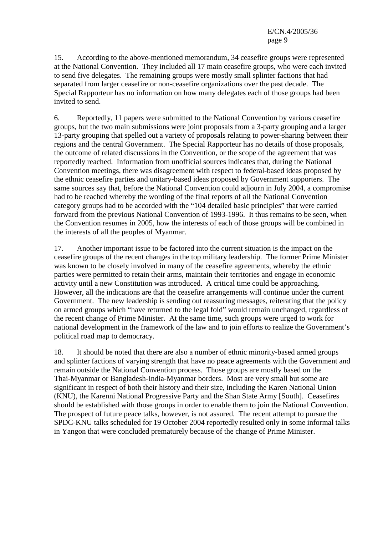15. According to the above-mentioned memorandum, 34 ceasefire groups were represented at the National Convention. They included all 17 main ceasefire groups, who were each invited to send five delegates. The remaining groups were mostly small splinter factions that had separated from larger ceasefire or non-ceasefire organizations over the past decade. The Special Rapporteur has no information on how many delegates each of those groups had been invited to send.

6. Reportedly, 11 papers were submitted to the National Convention by various ceasefire groups, but the two main submissions were joint proposals from a 3-party grouping and a larger 13-party grouping that spelled out a variety of proposals relating to power-sharing between their regions and the central Government. The Special Rapporteur has no details of those proposals, the outcome of related discussions in the Convention, or the scope of the agreement that was reportedly reached. Information from unofficial sources indicates that, during the National Convention meetings, there was disagreement with respect to federal-based ideas proposed by the ethnic ceasefire parties and unitary-based ideas proposed by Government supporters. The same sources say that, before the National Convention could adjourn in July 2004, a compromise had to be reached whereby the wording of the final reports of all the National Convention category groups had to be accorded with the "104 detailed basic principles" that were carried forward from the previous National Convention of 1993-1996. It thus remains to be seen, when the Convention resumes in 2005, how the interests of each of those groups will be combined in the interests of all the peoples of Myanmar.

17. Another important issue to be factored into the current situation is the impact on the ceasefire groups of the recent changes in the top military leadership. The former Prime Minister was known to be closely involved in many of the ceasefire agreements, whereby the ethnic parties were permitted to retain their arms, maintain their territories and engage in economic activity until a new Constitution was introduced. A critical time could be approaching. However, all the indications are that the ceasefire arrangements will continue under the current Government. The new leadership is sending out reassuring messages, reiterating that the policy on armed groups which "have returned to the legal fold" would remain unchanged, regardless of the recent change of Prime Minister. At the same time, such groups were urged to work for national development in the framework of the law and to join efforts to realize the Government's political road map to democracy.

18. It should be noted that there are also a number of ethnic minority-based armed groups and splinter factions of varying strength that have no peace agreements with the Government and remain outside the National Convention process. Those groups are mostly based on the Thai-Myanmar or Bangladesh-India-Myanmar borders. Most are very small but some are significant in respect of both their history and their size, including the Karen National Union (KNU), the Karenni National Progressive Party and the Shan State Army [South]. Ceasefires should be established with those groups in order to enable them to join the National Convention. The prospect of future peace talks, however, is not assured. The recent attempt to pursue the SPDC-KNU talks scheduled for 19 October 2004 reportedly resulted only in some informal talks in Yangon that were concluded prematurely because of the change of Prime Minister.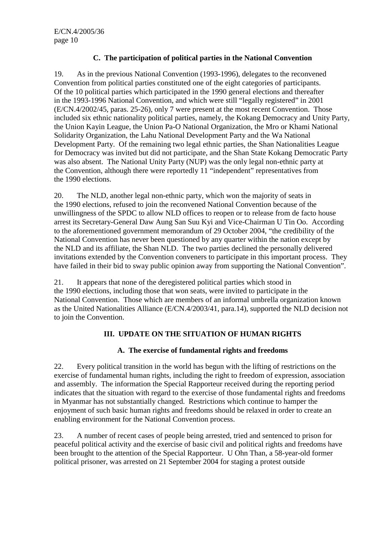## **C. The participation of political parties in the National Convention**

19. As in the previous National Convention (1993-1996), delegates to the reconvened Convention from political parties constituted one of the eight categories of participants. Of the 10 political parties which participated in the 1990 general elections and thereafter in the 1993-1996 National Convention, and which were still "legally registered" in 2001 (E/CN.4/2002/45, paras. 25-26), only 7 were present at the most recent Convention. Those included six ethnic nationality political parties, namely, the Kokang Democracy and Unity Party, the Union Kayin League, the Union Pa-O National Organization, the Mro or Khami National Solidarity Organization, the Lahu National Development Party and the Wa National Development Party. Of the remaining two legal ethnic parties, the Shan Nationalities League for Democracy was invited but did not participate, and the Shan State Kokang Democratic Party was also absent. The National Unity Party (NUP) was the only legal non-ethnic party at the Convention, although there were reportedly 11 "independent" representatives from the 1990 elections.

20. The NLD, another legal non-ethnic party, which won the majority of seats in the 1990 elections, refused to join the reconvened National Convention because of the unwillingness of the SPDC to allow NLD offices to reopen or to release from de facto house arrest its Secretary-General Daw Aung San Suu Kyi and Vice-Chairman U Tin Oo. According to the aforementioned government memorandum of 29 October 2004, "the credibility of the National Convention has never been questioned by any quarter within the nation except by the NLD and its affiliate, the Shan NLD. The two parties declined the personally delivered invitations extended by the Convention conveners to participate in this important process. They have failed in their bid to sway public opinion away from supporting the National Convention".

21. It appears that none of the deregistered political parties which stood in the 1990 elections, including those that won seats, were invited to participate in the National Convention. Those which are members of an informal umbrella organization known as the United Nationalities Alliance (E/CN.4/2003/41, para.14), supported the NLD decision not to join the Convention.

## **III. UPDATE ON THE SITUATION OF HUMAN RIGHTS**

### **A. The exercise of fundamental rights and freedoms**

22. Every political transition in the world has begun with the lifting of restrictions on the exercise of fundamental human rights, including the right to freedom of expression, association and assembly. The information the Special Rapporteur received during the reporting period indicates that the situation with regard to the exercise of those fundamental rights and freedoms in Myanmar has not substantially changed. Restrictions which continue to hamper the enjoyment of such basic human rights and freedoms should be relaxed in order to create an enabling environment for the National Convention process.

23. A number of recent cases of people being arrested, tried and sentenced to prison for peaceful political activity and the exercise of basic civil and political rights and freedoms have been brought to the attention of the Special Rapporteur. U Ohn Than, a 58-year-old former political prisoner, was arrested on 21 September 2004 for staging a protest outside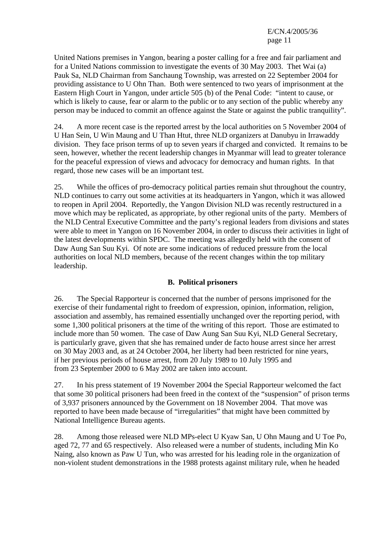United Nations premises in Yangon, bearing a poster calling for a free and fair parliament and for a United Nations commission to investigate the events of 30 May 2003. Thet Wai (a) Pauk Sa, NLD Chairman from Sanchaung Township, was arrested on 22 September 2004 for providing assistance to U Ohn Than. Both were sentenced to two years of imprisonment at the Eastern High Court in Yangon, under article 505 (b) of the Penal Code: "intent to cause, or which is likely to cause, fear or alarm to the public or to any section of the public whereby any person may be induced to commit an offence against the State or against the public tranquility".

24. A more recent case is the reported arrest by the local authorities on 5 November 2004 of U Han Sein, U Win Maung and U Than Htut, three NLD organizers at Danubyu in Irrawaddy division. They face prison terms of up to seven years if charged and convicted. It remains to be seen, however, whether the recent leadership changes in Myanmar will lead to greater tolerance for the peaceful expression of views and advocacy for democracy and human rights. In that regard, those new cases will be an important test.

25. While the offices of pro-democracy political parties remain shut throughout the country, NLD continues to carry out some activities at its headquarters in Yangon, which it was allowed to reopen in April 2004. Reportedly, the Yangon Division NLD was recently restructured in a move which may be replicated, as appropriate, by other regional units of the party. Members of the NLD Central Executive Committee and the party's regional leaders from divisions and states were able to meet in Yangon on 16 November 2004, in order to discuss their activities in light of the latest developments within SPDC. The meeting was allegedly held with the consent of Daw Aung San Suu Kyi. Of note are some indications of reduced pressure from the local authorities on local NLD members, because of the recent changes within the top military leadership.

### **B. Political prisoners**

26. The Special Rapporteur is concerned that the number of persons imprisoned for the exercise of their fundamental right to freedom of expression, opinion, information, religion, association and assembly, has remained essentially unchanged over the reporting period, with some 1,300 political prisoners at the time of the writing of this report. Those are estimated to include more than 50 women. The case of Daw Aung San Suu Kyi, NLD General Secretary, is particularly grave, given that she has remained under de facto house arrest since her arrest on 30 May 2003 and, as at 24 October 2004, her liberty had been restricted for nine years, if her previous periods of house arrest, from 20 July 1989 to 10 July 1995 and from 23 September 2000 to 6 May 2002 are taken into account.

27. In his press statement of 19 November 2004 the Special Rapporteur welcomed the fact that some 30 political prisoners had been freed in the context of the "suspension" of prison terms of 3,937 prisoners announced by the Government on 18 November 2004. That move was reported to have been made because of "irregularities" that might have been committed by National Intelligence Bureau agents.

28. Among those released were NLD MPs-elect U Kyaw San, U Ohn Maung and U Toe Po, aged 72, 77 and 65 respectively. Also released were a number of students, including Min Ko Naing, also known as Paw U Tun, who was arrested for his leading role in the organization of non-violent student demonstrations in the 1988 protests against military rule, when he headed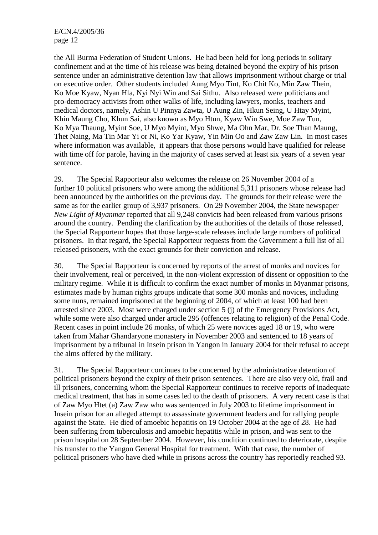the All Burma Federation of Student Unions. He had been held for long periods in solitary confinement and at the time of his release was being detained beyond the expiry of his prison sentence under an administrative detention law that allows imprisonment without charge or trial on executive order. Other students included Aung Myo Tint, Ko Chit Ko, Min Zaw Thein, Ko Moe Kyaw, Nyan Hla, Nyi Nyi Win and Sai Sithu. Also released were politicians and pro-democracy activists from other walks of life, including lawyers, monks, teachers and medical doctors, namely, Ashin U Pinnya Zawta, U Aung Zin, Hkun Seing, U Htay Myint, Khin Maung Cho, Khun Sai, also known as Myo Htun, Kyaw Win Swe, Moe Zaw Tun, Ko Mya Thaung, Myint Soe, U Myo Myint, Myo Shwe, Ma Ohn Mar, Dr. Soe Than Maung, Thet Naing, Ma Tin Mar Yi or Ni, Ko Yar Kyaw, Yin Min Oo and Zaw Zaw Lin. In most cases where information was available, it appears that those persons would have qualified for release with time off for parole, having in the majority of cases served at least six years of a seven year sentence.

29. The Special Rapporteur also welcomes the release on 26 November 2004 of a further 10 political prisoners who were among the additional 5,311 prisoners whose release had been announced by the authorities on the previous day. The grounds for their release were the same as for the earlier group of 3,937 prisoners. On 29 November 2004, the State newspaper *New Light of Myanmar* reported that all 9,248 convicts had been released from various prisons around the country. Pending the clarification by the authorities of the details of those released, the Special Rapporteur hopes that those large-scale releases include large numbers of political prisoners. In that regard, the Special Rapporteur requests from the Government a full list of all released prisoners, with the exact grounds for their conviction and release.

30. The Special Rapporteur is concerned by reports of the arrest of monks and novices for their involvement, real or perceived, in the non-violent expression of dissent or opposition to the military regime. While it is difficult to confirm the exact number of monks in Myanmar prisons, estimates made by human rights groups indicate that some 300 monks and novices, including some nuns, remained imprisoned at the beginning of 2004, of which at least 100 had been arrested since 2003. Most were charged under section 5 (j) of the Emergency Provisions Act, while some were also charged under article 295 (offences relating to religion) of the Penal Code. Recent cases in point include 26 monks, of which 25 were novices aged 18 or 19, who were taken from Mahar Ghandaryone monastery in November 2003 and sentenced to 18 years of imprisonment by a tribunal in Insein prison in Yangon in January 2004 for their refusal to accept the alms offered by the military.

31. The Special Rapporteur continues to be concerned by the administrative detention of political prisoners beyond the expiry of their prison sentences. There are also very old, frail and ill prisoners, concerning whom the Special Rapporteur continues to receive reports of inadequate medical treatment, that has in some cases led to the death of prisoners. A very recent case is that of Zaw Myo Htet (a) Zaw Zaw who was sentenced in July 2003 to lifetime imprisonment in Insein prison for an alleged attempt to assassinate government leaders and for rallying people against the State. He died of amoebic hepatitis on 19 October 2004 at the age of 28. He had been suffering from tuberculosis and amoebic hepatitis while in prison, and was sent to the prison hospital on 28 September 2004. However, his condition continued to deteriorate, despite his transfer to the Yangon General Hospital for treatment. With that case, the number of political prisoners who have died while in prisons across the country has reportedly reached 93.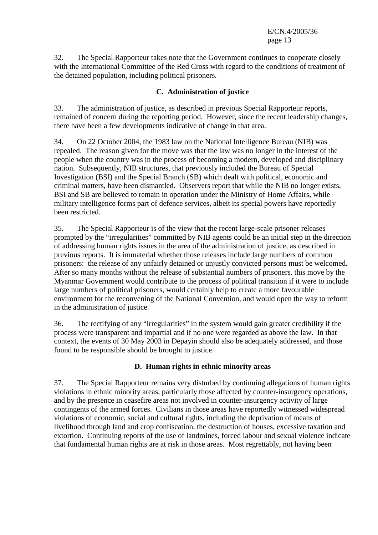32. The Special Rapporteur takes note that the Government continues to cooperate closely with the International Committee of the Red Cross with regard to the conditions of treatment of the detained population, including political prisoners.

### **C. Administration of justice**

33. The administration of justice, as described in previous Special Rapporteur reports, remained of concern during the reporting period. However, since the recent leadership changes, there have been a few developments indicative of change in that area.

34. On 22 October 2004, the 1983 law on the National Intelligence Bureau (NIB) was repealed. The reason given for the move was that the law was no longer in the interest of the people when the country was in the process of becoming a modern, developed and disciplinary nation. Subsequently, NIB structures, that previously included the Bureau of Special Investigation (BSI) and the Special Branch (SB) which dealt with political, economic and criminal matters, have been dismantled. Observers report that while the NIB no longer exists, BSI and SB are believed to remain in operation under the Ministry of Home Affairs, while military intelligence forms part of defence services, albeit its special powers have reportedly been restricted.

35. The Special Rapporteur is of the view that the recent large-scale prisoner releases prompted by the "irregularities" committed by NIB agents could be an initial step in the direction of addressing human rights issues in the area of the administration of justice, as described in previous reports. It is immaterial whether those releases include large numbers of common prisoners: the release of any unfairly detained or unjustly convicted persons must be welcomed. After so many months without the release of substantial numbers of prisoners, this move by the Myanmar Government would contribute to the process of political transition if it were to include large numbers of political prisoners, would certainly help to create a more favourable environment for the reconvening of the National Convention, and would open the way to reform in the administration of justice.

36. The rectifying of any "irregularities" in the system would gain greater credibility if the process were transparent and impartial and if no one were regarded as above the law. In that context, the events of 30 May 2003 in Depayin should also be adequately addressed, and those found to be responsible should be brought to justice.

## **D. Human rights in ethnic minority areas**

37. The Special Rapporteur remains very disturbed by continuing allegations of human rights violations in ethnic minority areas, particularly those affected by counter-insurgency operations, and by the presence in ceasefire areas not involved in counter-insurgency activity of large contingents of the armed forces. Civilians in those areas have reportedly witnessed widespread violations of economic, social and cultural rights, including the deprivation of means of livelihood through land and crop confiscation, the destruction of houses, excessive taxation and extortion. Continuing reports of the use of landmines, forced labour and sexual violence indicate that fundamental human rights are at risk in those areas. Most regrettably, not having been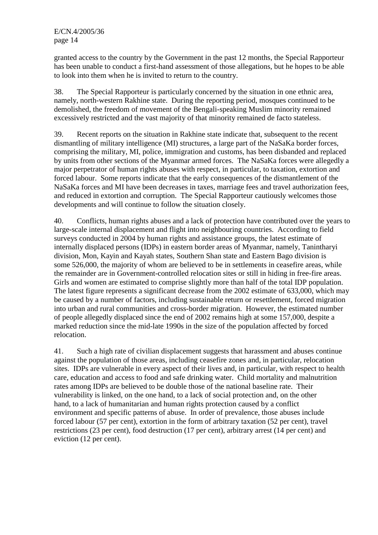granted access to the country by the Government in the past 12 months, the Special Rapporteur has been unable to conduct a first-hand assessment of those allegations, but he hopes to be able to look into them when he is invited to return to the country.

38. The Special Rapporteur is particularly concerned by the situation in one ethnic area, namely, north-western Rakhine state. During the reporting period, mosques continued to be demolished, the freedom of movement of the Bengali-speaking Muslim minority remained excessively restricted and the vast majority of that minority remained de facto stateless.

39. Recent reports on the situation in Rakhine state indicate that, subsequent to the recent dismantling of military intelligence (MI) structures, a large part of the NaSaKa border forces, comprising the military, MI, police, immigration and customs, has been disbanded and replaced by units from other sections of the Myanmar armed forces. The NaSaKa forces were allegedly a major perpetrator of human rights abuses with respect, in particular, to taxation, extortion and forced labour. Some reports indicate that the early consequences of the dismantlement of the NaSaKa forces and MI have been decreases in taxes, marriage fees and travel authorization fees, and reduced in extortion and corruption. The Special Rapporteur cautiously welcomes those developments and will continue to follow the situation closely.

40. Conflicts, human rights abuses and a lack of protection have contributed over the years to large-scale internal displacement and flight into neighbouring countries. According to field surveys conducted in 2004 by human rights and assistance groups, the latest estimate of internally displaced persons (IDPs) in eastern border areas of Myanmar, namely, Tanintharyi division, Mon, Kayin and Kayah states, Southern Shan state and Eastern Bago division is some 526,000, the majority of whom are believed to be in settlements in ceasefire areas, while the remainder are in Government-controlled relocation sites or still in hiding in free-fire areas. Girls and women are estimated to comprise slightly more than half of the total IDP population. The latest figure represents a significant decrease from the 2002 estimate of 633,000, which may be caused by a number of factors, including sustainable return or resettlement, forced migration into urban and rural communities and cross-border migration. However, the estimated number of people allegedly displaced since the end of 2002 remains high at some 157,000, despite a marked reduction since the mid-late 1990s in the size of the population affected by forced relocation.

41. Such a high rate of civilian displacement suggests that harassment and abuses continue against the population of those areas, including ceasefire zones and, in particular, relocation sites. IDPs are vulnerable in every aspect of their lives and, in particular, with respect to health care, education and access to food and safe drinking water. Child mortality and malnutrition rates among IDPs are believed to be double those of the national baseline rate. Their vulnerability is linked, on the one hand, to a lack of social protection and, on the other hand, to a lack of humanitarian and human rights protection caused by a conflict environment and specific patterns of abuse. In order of prevalence, those abuses include forced labour (57 per cent), extortion in the form of arbitrary taxation (52 per cent), travel restrictions (23 per cent), food destruction (17 per cent), arbitrary arrest (14 per cent) and eviction (12 per cent).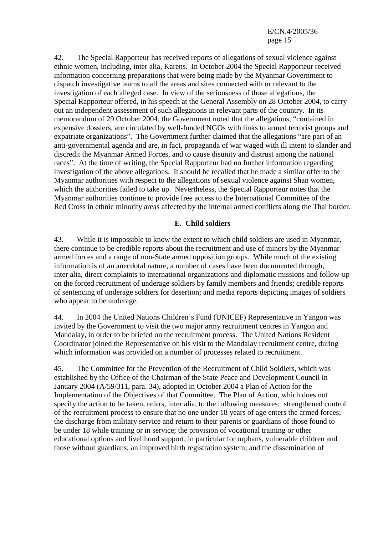42. The Special Rapporteur has received reports of allegations of sexual violence against ethnic women, including, inter alia, Karens. In October 2004 the Special Rapporteur received information concerning preparations that were being made by the Myanmar Government to dispatch investigative teams to all the areas and sites connected with or relevant to the investigation of each alleged case. In view of the seriousness of those allegations, the Special Rapporteur offered, in his speech at the General Assembly on 28 October 2004, to carry out an independent assessment of such allegations in relevant parts of the country. In its memorandum of 29 October 2004, the Government noted that the allegations, "contained in expensive dossiers, are circulated by well-funded NGOs with links to armed terrorist groups and expatriate organizations". The Government further claimed that the allegations "are part of an anti-governmental agenda and are, in fact, propaganda of war waged with ill intent to slander and discredit the Myanmar Armed Forces, and to cause disunity and distrust among the national races". At the time of writing, the Special Rapporteur had no further information regarding investigation of the above allegations. It should be recalled that he made a similar offer to the Myanmar authorities with respect to the allegations of sexual violence against Shan women, which the authorities failed to take up. Nevertheless, the Special Rapporteur notes that the Myanmar authorities continue to provide free access to the International Committee of the Red Cross in ethnic minority areas affected by the internal armed conflicts along the Thai border.

#### **E. Child soldiers**

43. While it is impossible to know the extent to which child soldiers are used in Myanmar, there continue to be credible reports about the recruitment and use of minors by the Myanmar armed forces and a range of non-State armed opposition groups. While much of the existing information is of an anecdotal nature, a number of cases have been documented through, inter alia, direct complaints to international organizations and diplomatic missions and follow-up on the forced recruitment of underage soldiers by family members and friends; credible reports of sentencing of underage soldiers for desertion; and media reports depicting images of soldiers who appear to be underage.

44. In 2004 the United Nations Children's Fund (UNICEF) Representative in Yangon was invited by the Government to visit the two major army recruitment centres in Yangon and Mandalay, in order to be briefed on the recruitment process. The United Nations Resident Coordinator joined the Representative on his visit to the Mandalay recruitment centre, during which information was provided on a number of processes related to recruitment.

45. The Committee for the Prevention of the Recruitment of Child Soldiers, which was established by the Office of the Chairman of the State Peace and Development Council in January 2004 (A/59/311, para. 34), adopted in October 2004 a Plan of Action for the Implementation of the Objectives of that Committee. The Plan of Action, which does not specify the action to be taken, refers, inter alia, to the following measures: strengthened control of the recruitment process to ensure that no one under 18 years of age enters the armed forces; the discharge from military service and return to their parents or guardians of those found to be under 18 while training or in service; the provision of vocational training or other educational options and livelihood support, in particular for orphans, vulnerable children and those without guardians; an improved birth registration system; and the dissemination of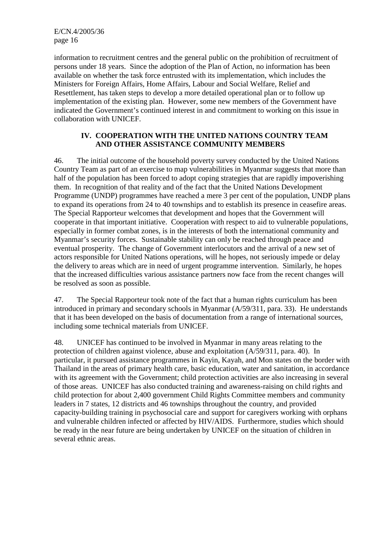information to recruitment centres and the general public on the prohibition of recruitment of persons under 18 years. Since the adoption of the Plan of Action, no information has been available on whether the task force entrusted with its implementation, which includes the Ministers for Foreign Affairs, Home Affairs, Labour and Social Welfare, Relief and Resettlement, has taken steps to develop a more detailed operational plan or to follow up implementation of the existing plan. However, some new members of the Government have indicated the Government's continued interest in and commitment to working on this issue in collaboration with UNICEF.

#### **IV. COOPERATION WITH THE UNITED NATIONS COUNTRY TEAM AND OTHER ASSISTANCE COMMUNITY MEMBERS**

46. The initial outcome of the household poverty survey conducted by the United Nations Country Team as part of an exercise to map vulnerabilities in Myanmar suggests that more than half of the population has been forced to adopt coping strategies that are rapidly impoverishing them. In recognition of that reality and of the fact that the United Nations Development Programme (UNDP) programmes have reached a mere 3 per cent of the population, UNDP plans to expand its operations from 24 to 40 townships and to establish its presence in ceasefire areas. The Special Rapporteur welcomes that development and hopes that the Government will cooperate in that important initiative. Cooperation with respect to aid to vulnerable populations, especially in former combat zones, is in the interests of both the international community and Myanmar's security forces. Sustainable stability can only be reached through peace and eventual prosperity. The change of Government interlocutors and the arrival of a new set of actors responsible for United Nations operations, will he hopes, not seriously impede or delay the delivery to areas which are in need of urgent programme intervention. Similarly, he hopes that the increased difficulties various assistance partners now face from the recent changes will be resolved as soon as possible.

47. The Special Rapporteur took note of the fact that a human rights curriculum has been introduced in primary and secondary schools in Myanmar (A/59/311, para. 33). He understands that it has been developed on the basis of documentation from a range of international sources, including some technical materials from UNICEF.

48. UNICEF has continued to be involved in Myanmar in many areas relating to the protection of children against violence, abuse and exploitation (A/59/311, para. 40). In particular, it pursued assistance programmes in Kayin, Kayah, and Mon states on the border with Thailand in the areas of primary health care, basic education, water and sanitation, in accordance with its agreement with the Government; child protection activities are also increasing in several of those areas. UNICEF has also conducted training and awareness-raising on child rights and child protection for about 2,400 government Child Rights Committee members and community leaders in 7 states, 12 districts and 46 townships throughout the country, and provided capacity-building training in psychosocial care and support for caregivers working with orphans and vulnerable children infected or affected by HIV/AIDS. Furthermore, studies which should be ready in the near future are being undertaken by UNICEF on the situation of children in several ethnic areas.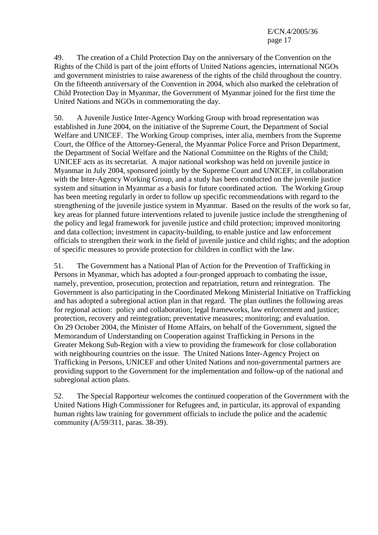49. The creation of a Child Protection Day on the anniversary of the Convention on the Rights of the Child is part of the joint efforts of United Nations agencies, international NGOs and government ministries to raise awareness of the rights of the child throughout the country. On the fifteenth anniversary of the Convention in 2004, which also marked the celebration of Child Protection Day in Myanmar, the Government of Myanmar joined for the first time the United Nations and NGOs in commemorating the day.

50. A Juvenile Justice Inter-Agency Working Group with broad representation was established in June 2004, on the initiative of the Supreme Court, the Department of Social Welfare and UNICEF. The Working Group comprises, inter alia, members from the Supreme Court, the Office of the Attorney-General, the Myanmar Police Force and Prison Department, the Department of Social Welfare and the National Committee on the Rights of the Child; UNICEF acts as its secretariat. A major national workshop was held on juvenile justice in Myanmar in July 2004, sponsored jointly by the Supreme Court and UNICEF, in collaboration with the Inter-Agency Working Group, and a study has been conducted on the juvenile justice system and situation in Myanmar as a basis for future coordinated action. The Working Group has been meeting regularly in order to follow up specific recommendations with regard to the strengthening of the juvenile justice system in Myanmar. Based on the results of the work so far, key areas for planned future interventions related to juvenile justice include the strengthening of the policy and legal framework for juvenile justice and child protection; improved monitoring and data collection; investment in capacity-building, to enable justice and law enforcement officials to strengthen their work in the field of juvenile justice and child rights; and the adoption of specific measures to provide protection for children in conflict with the law.

51. The Government has a National Plan of Action for the Prevention of Trafficking in Persons in Myanmar, which has adopted a four-pronged approach to combating the issue, namely, prevention, prosecution, protection and repatriation, return and reintegration. The Government is also participating in the Coordinated Mekong Ministerial Initiative on Trafficking and has adopted a subregional action plan in that regard. The plan outlines the following areas for regional action: policy and collaboration; legal frameworks, law enforcement and justice; protection, recovery and reintegration; preventative measures; monitoring; and evaluation. On 29 October 2004, the Minister of Home Affairs, on behalf of the Government, signed the Memorandum of Understanding on Cooperation against Trafficking in Persons in the Greater Mekong Sub-Region with a view to providing the framework for close collaboration with neighbouring countries on the issue. The United Nations Inter-Agency Project on Trafficking in Persons, UNICEF and other United Nations and non-governmental partners are providing support to the Government for the implementation and follow-up of the national and subregional action plans.

52. The Special Rapporteur welcomes the continued cooperation of the Government with the United Nations High Commissioner for Refugees and, in particular, its approval of expanding human rights law training for government officials to include the police and the academic community (A/59/311, paras. 38-39).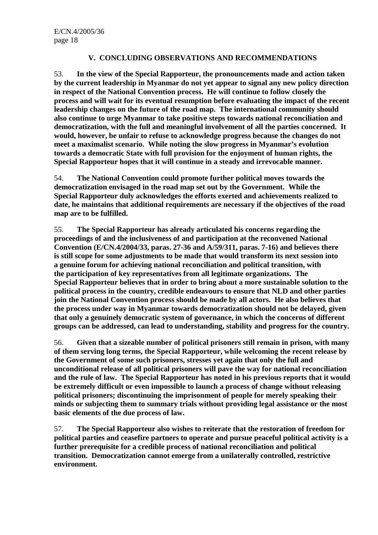### **V. CONCLUDING OBSERVATIONS AND RECOMMENDATIONS**

53. **In the view of the Special Rapporteur, the pronouncements made and action taken by the current leadership in Myanmar do not yet appear to signal any new policy direction in respect of the National Convention process. He will continue to follow closely the process and will wait for its eventual resumption before evaluating the impact of the recent leadership changes on the future of the road map. The international community should also continue to urge Myanmar to take positive steps towards national reconciliation and democratization, with the full and meaningful involvement of all the parties concerned. It would, however, be unfair to refuse to acknowledge progress because the changes do not meet a maximalist scenario. While noting the slow progress in Myanmar's evolution towards a democratic State with full provision for the enjoyment of human rights, the Special Rapporteur hopes that it will continue in a steady and irrevocable manner.**

54. **The National Convention could promote further political moves towards the democratization envisaged in the road map set out by the Government. While the Special Rapporteur duly acknowledges the efforts exerted and achievements realized to date, he maintains that additional requirements are necessary if the objectives of the road map are to be fulfilled.**

55. **The Special Rapporteur has already articulated his concerns regarding the proceedings of and the inclusiveness of and participation at the reconvened National Convention (E/CN.4/2004/33, paras. 27-36 and A/59/311, paras. 7-16) and believes there is still scope for some adjustments to be made that would transform its next session into a genuine forum for achieving national reconciliation and political transition, with the participation of key representatives from all legitimate organizations. The Special Rapporteur believes that in order to bring about a more sustainable solution to the political process in the country, credible endeavours to ensure that NLD and other parties join the National Convention process should be made by all actors. He also believes that the process under way in Myanmar towards democratization should not be delayed, given that only a genuinely democratic system of governance, in which the concerns of different groups can be addressed, can lead to understanding, stability and progress for the country.**

56. **Given that a sizeable number of political prisoners still remain in prison, with many of them serving long terms, the Special Rapporteur, while welcoming the recent release by the Government of some such prisoners, stresses yet again that only the full and unconditional release of all political prisoners will pave the way for national reconciliation and the rule of law. The Special Rapporteur has noted in his previous reports that it would be extremely difficult or even impossible to launch a process of change without releasing political prisoners; discontinuing the imprisonment of people for merely speaking their minds or subjecting them to summary trials without providing legal assistance or the most basic elements of the due process of law.**

57. **The Special Rapporteur also wishes to reiterate that the restoration of freedom for political parties and ceasefire partners to operate and pursue peaceful political activity is a further prerequisite for a credible process of national reconciliation and political transition. Democratization cannot emerge from a unilaterally controlled, restrictive environment.**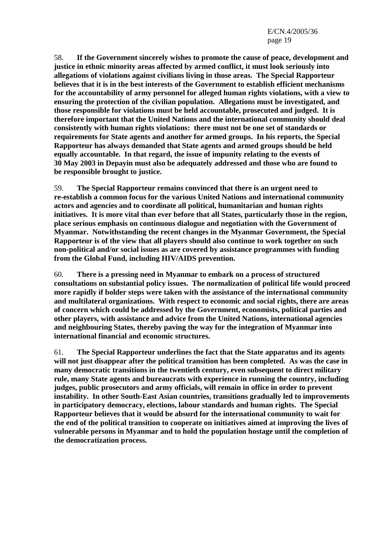58. **If the Government sincerely wishes to promote the cause of peace, development and justice in ethnic minority areas affected by armed conflict, it must look seriously into allegations of violations against civilians living in those areas. The Special Rapporteur believes that it is in the best interests of the Government to establish efficient mechanisms for the accountability of army personnel for alleged human rights violations, with a view to ensuring the protection of the civilian population. Allegations must be investigated, and those responsible for violations must be held accountable, prosecuted and judged. It is therefore important that the United Nations and the international community should deal consistently with human rights violations: there must not be one set of standards or requirements for State agents and another for armed groups. In his reports, the Special Rapporteur has always demanded that State agents and armed groups should be held equally accountable. In that regard, the issue of impunity relating to the events of 30 May 2003 in Depayin must also be adequately addressed and those who are found to be responsible brought to justice.**

59. **The Special Rapporteur remains convinced that there is an urgent need to re-establish a common focus for the various United Nations and international community actors and agencies and to coordinate all political, humanitarian and human rights initiatives. It is more vital than ever before that all States, particularly those in the region, place serious emphasis on continuous dialogue and negotiation with the Government of Myanmar. Notwithstanding the recent changes in the Myanmar Government, the Special Rapporteur is of the view that all players should also continue to work together on such non-political and/or social issues as are covered by assistance programmes with funding from the Global Fund, including HIV/AIDS prevention.**

60. **There is a pressing need in Myanmar to embark on a process of structured consultations on substantial policy issues. The normalization of political life would proceed more rapidly if bolder steps were taken with the assistance of the international community and multilateral organizations. With respect to economic and social rights, there are areas of concern which could be addressed by the Government, economists, political parties and other players, with assistance and advice from the United Nations, international agencies and neighbouring States, thereby paving the way for the integration of Myanmar into international financial and economic structures.**

61. **The Special Rapporteur underlines the fact that the State apparatus and its agents will not just disappear after the political transition has been completed. As was the case in many democratic transitions in the twentieth century, even subsequent to direct military rule, many State agents and bureaucrats with experience in running the country, including judges, public prosecutors and army officials, will remain in office in order to prevent instability. In other South-East Asian countries, transitions gradually led to improvements in participatory democracy, elections, labour standards and human rights. The Special Rapporteur believes that it would be absurd for the international community to wait for the end of the political transition to cooperate on initiatives aimed at improving the lives of vulnerable persons in Myanmar and to hold the population hostage until the completion of the democratization process.**